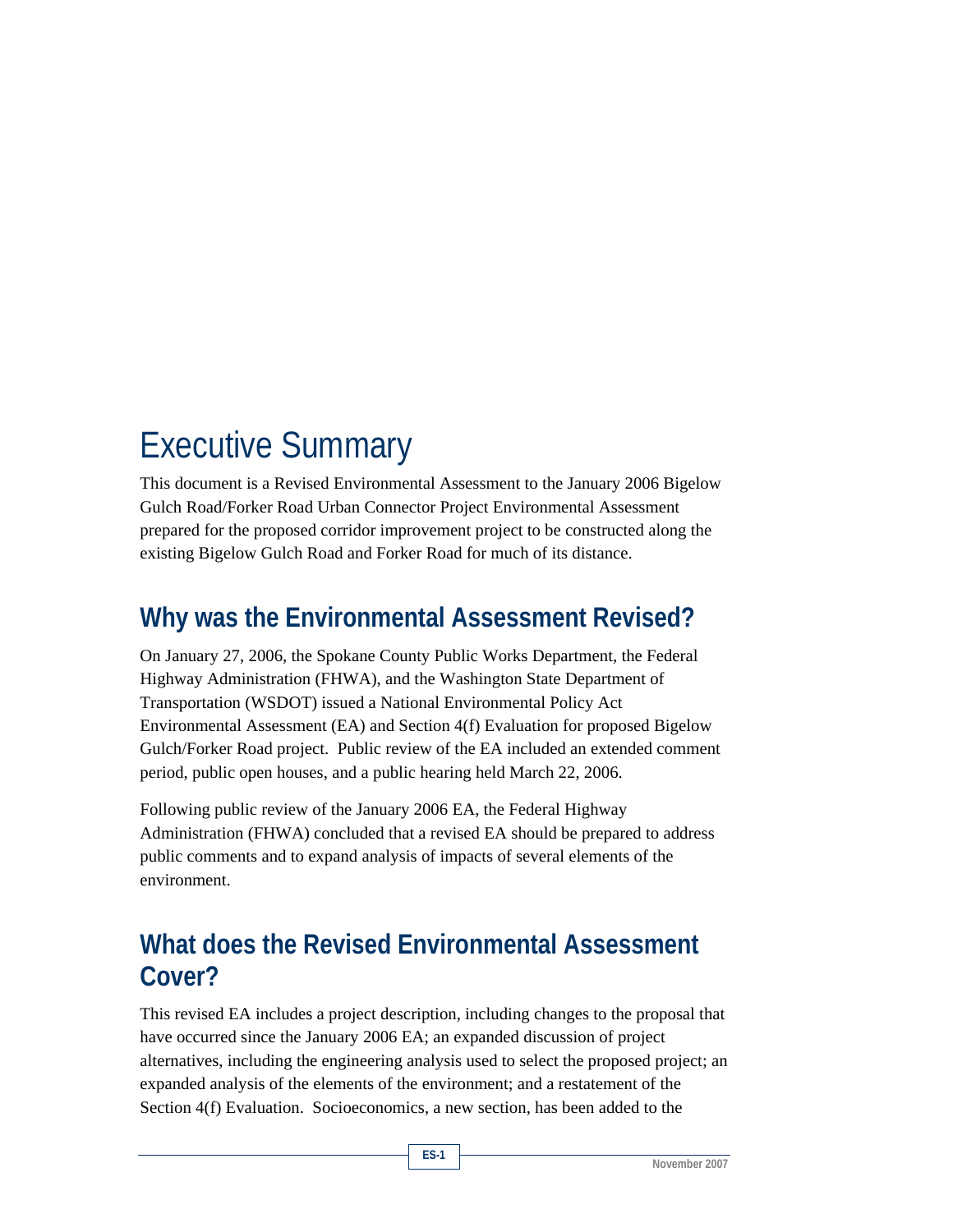# Executive Summary

This document is a Revised Environmental Assessment to the January 2006 Bigelow Gulch Road/Forker Road Urban Connector Project Environmental Assessment prepared for the proposed corridor improvement project to be constructed along the existing Bigelow Gulch Road and Forker Road for much of its distance.

## **Why was the Environmental Assessment Revised?**

On January 27, 2006, the Spokane County Public Works Department, the Federal Highway Administration (FHWA), and the Washington State Department of Transportation (WSDOT) issued a National Environmental Policy Act Environmental Assessment (EA) and Section 4(f) Evaluation for proposed Bigelow Gulch/Forker Road project. Public review of the EA included an extended comment period, public open houses, and a public hearing held March 22, 2006.

Following public review of the January 2006 EA, the Federal Highway Administration (FHWA) concluded that a revised EA should be prepared to address public comments and to expand analysis of impacts of several elements of the environment.

## **What does the Revised Environmental Assessment Cover?**

This revised EA includes a project description, including changes to the proposal that have occurred since the January 2006 EA; an expanded discussion of project alternatives, including the engineering analysis used to select the proposed project; an expanded analysis of the elements of the environment; and a restatement of the Section 4(f) Evaluation. Socioeconomics, a new section, has been added to the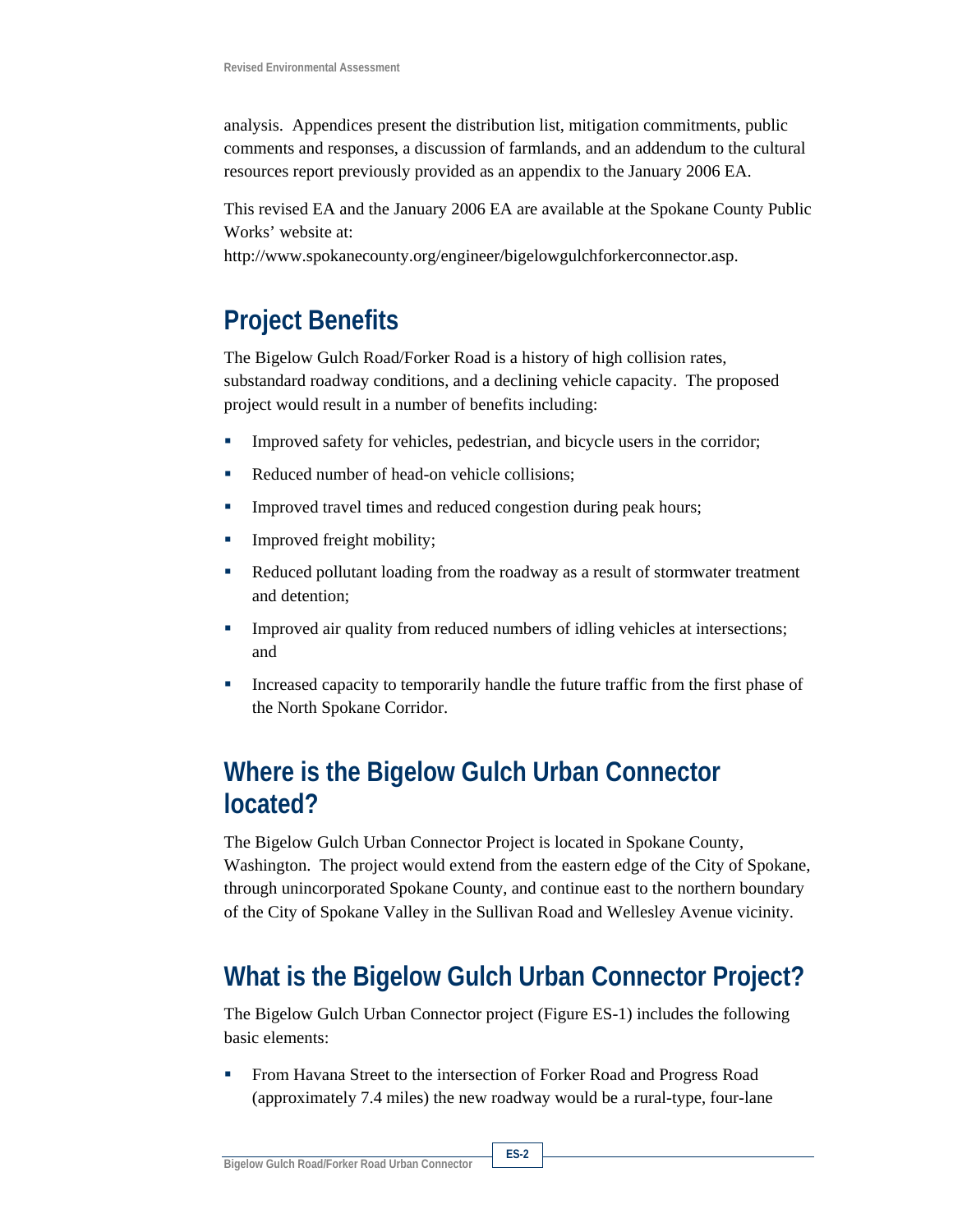analysis. Appendices present the distribution list, mitigation commitments, public comments and responses, a discussion of farmlands, and an addendum to the cultural resources report previously provided as an appendix to the January 2006 EA.

This revised EA and the January 2006 EA are available at the Spokane County Public Works' website at:

http://www.spokanecounty.org/engineer/bigelowgulchforkerconnector.asp.

#### **Project Benefits**

The Bigelow Gulch Road/Forker Road is a history of high collision rates, substandard roadway conditions, and a declining vehicle capacity. The proposed project would result in a number of benefits including:

- **Improved safety for vehicles, pedestrian, and bicycle users in the corridor;**
- Reduced number of head-on vehicle collisions;
- Improved travel times and reduced congestion during peak hours;
- **Improved freight mobility;**
- Reduced pollutant loading from the roadway as a result of stormwater treatment and detention;
- Improved air quality from reduced numbers of idling vehicles at intersections; and
- **Increased capacity to temporarily handle the future traffic from the first phase of** the North Spokane Corridor.

#### **Where is the Bigelow Gulch Urban Connector located?**

The Bigelow Gulch Urban Connector Project is located in Spokane County, Washington. The project would extend from the eastern edge of the City of Spokane, through unincorporated Spokane County, and continue east to the northern boundary of the City of Spokane Valley in the Sullivan Road and Wellesley Avenue vicinity.

## **What is the Bigelow Gulch Urban Connector Project?**

The Bigelow Gulch Urban Connector project (Figure ES-1) includes the following basic elements:

 From Havana Street to the intersection of Forker Road and Progress Road (approximately 7.4 miles) the new roadway would be a rural-type, four-lane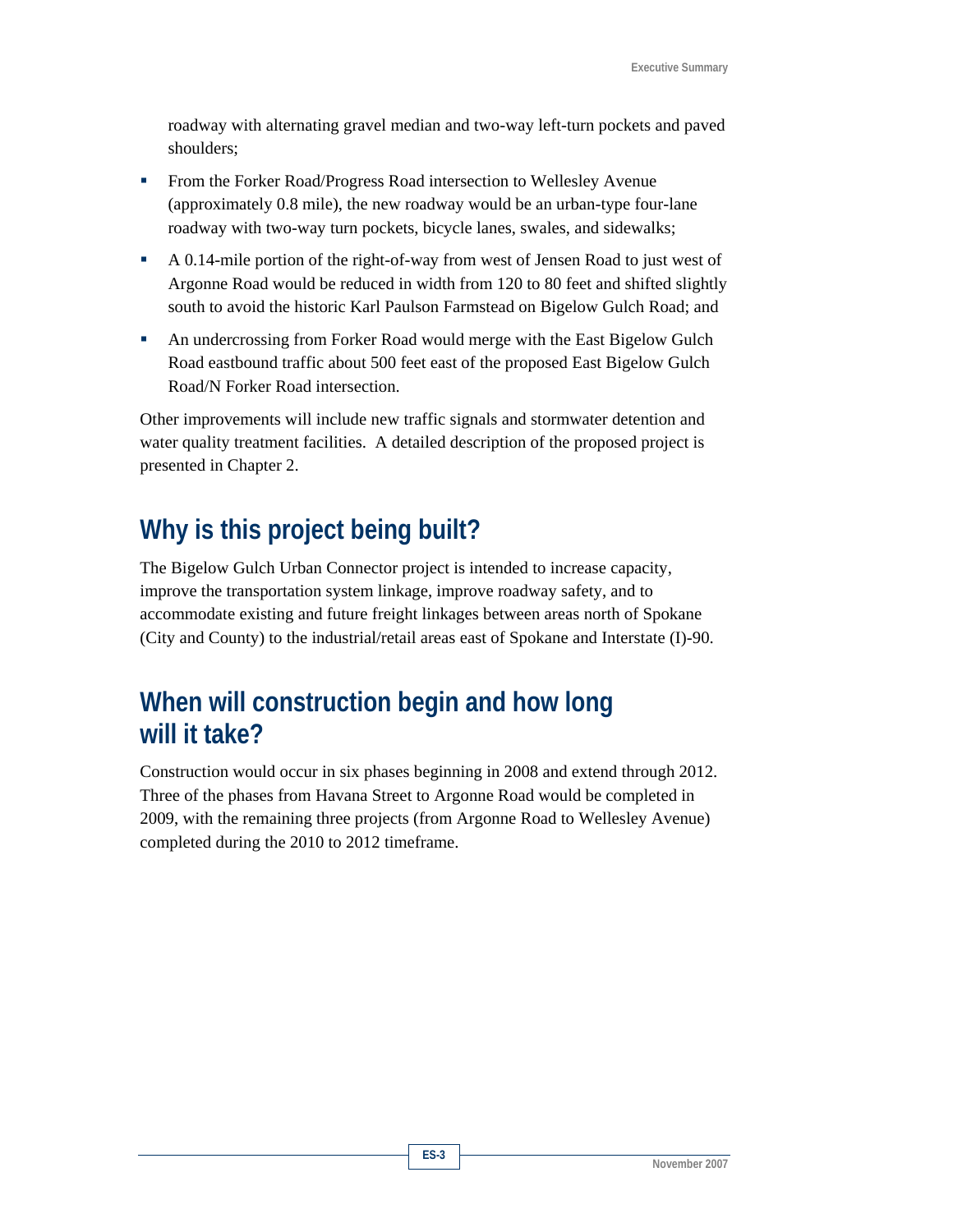roadway with alternating gravel median and two-way left-turn pockets and paved shoulders;

- **From the Forker Road/Progress Road intersection to Wellesley Avenue** (approximately 0.8 mile), the new roadway would be an urban-type four-lane roadway with two-way turn pockets, bicycle lanes, swales, and sidewalks;
- A 0.14-mile portion of the right-of-way from west of Jensen Road to just west of Argonne Road would be reduced in width from 120 to 80 feet and shifted slightly south to avoid the historic Karl Paulson Farmstead on Bigelow Gulch Road; and
- An undercrossing from Forker Road would merge with the East Bigelow Gulch Road eastbound traffic about 500 feet east of the proposed East Bigelow Gulch Road/N Forker Road intersection.

Other improvements will include new traffic signals and stormwater detention and water quality treatment facilities. A detailed description of the proposed project is presented in Chapter 2.

## **Why is this project being built?**

The Bigelow Gulch Urban Connector project is intended to increase capacity, improve the transportation system linkage, improve roadway safety, and to accommodate existing and future freight linkages between areas north of Spokane (City and County) to the industrial/retail areas east of Spokane and Interstate (I)-90.

#### **When will construction begin and how long will it take?**

Construction would occur in six phases beginning in 2008 and extend through 2012. Three of the phases from Havana Street to Argonne Road would be completed in 2009, with the remaining three projects (from Argonne Road to Wellesley Avenue) completed during the 2010 to 2012 timeframe.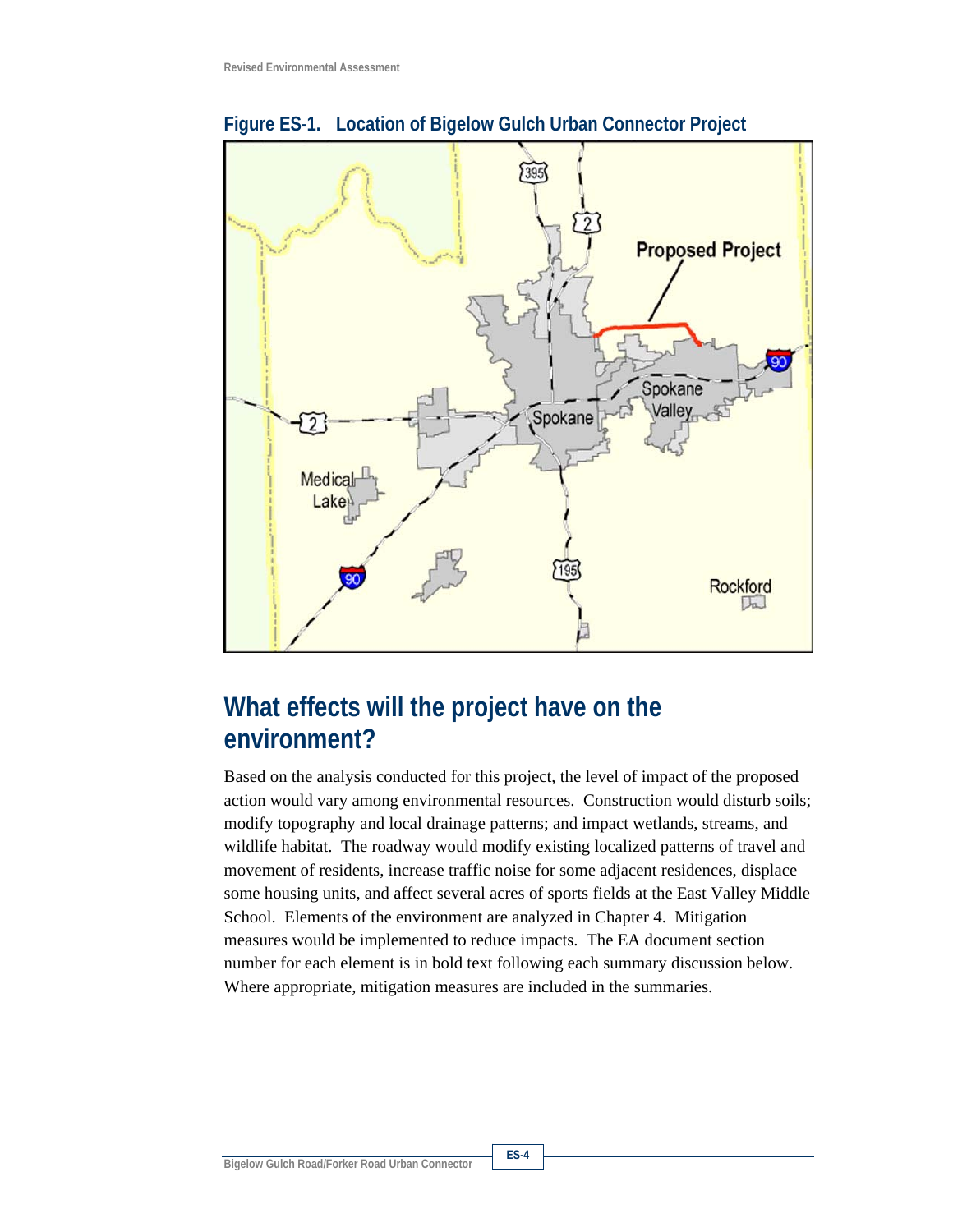

**Figure ES-1. Location of Bigelow Gulch Urban Connector Project** 

#### **What effects will the project have on the environment?**

Based on the analysis conducted for this project, the level of impact of the proposed action would vary among environmental resources. Construction would disturb soils; modify topography and local drainage patterns; and impact wetlands, streams, and wildlife habitat. The roadway would modify existing localized patterns of travel and movement of residents, increase traffic noise for some adjacent residences, displace some housing units, and affect several acres of sports fields at the East Valley Middle School. Elements of the environment are analyzed in Chapter 4. Mitigation measures would be implemented to reduce impacts. The EA document section number for each element is in bold text following each summary discussion below. Where appropriate, mitigation measures are included in the summaries.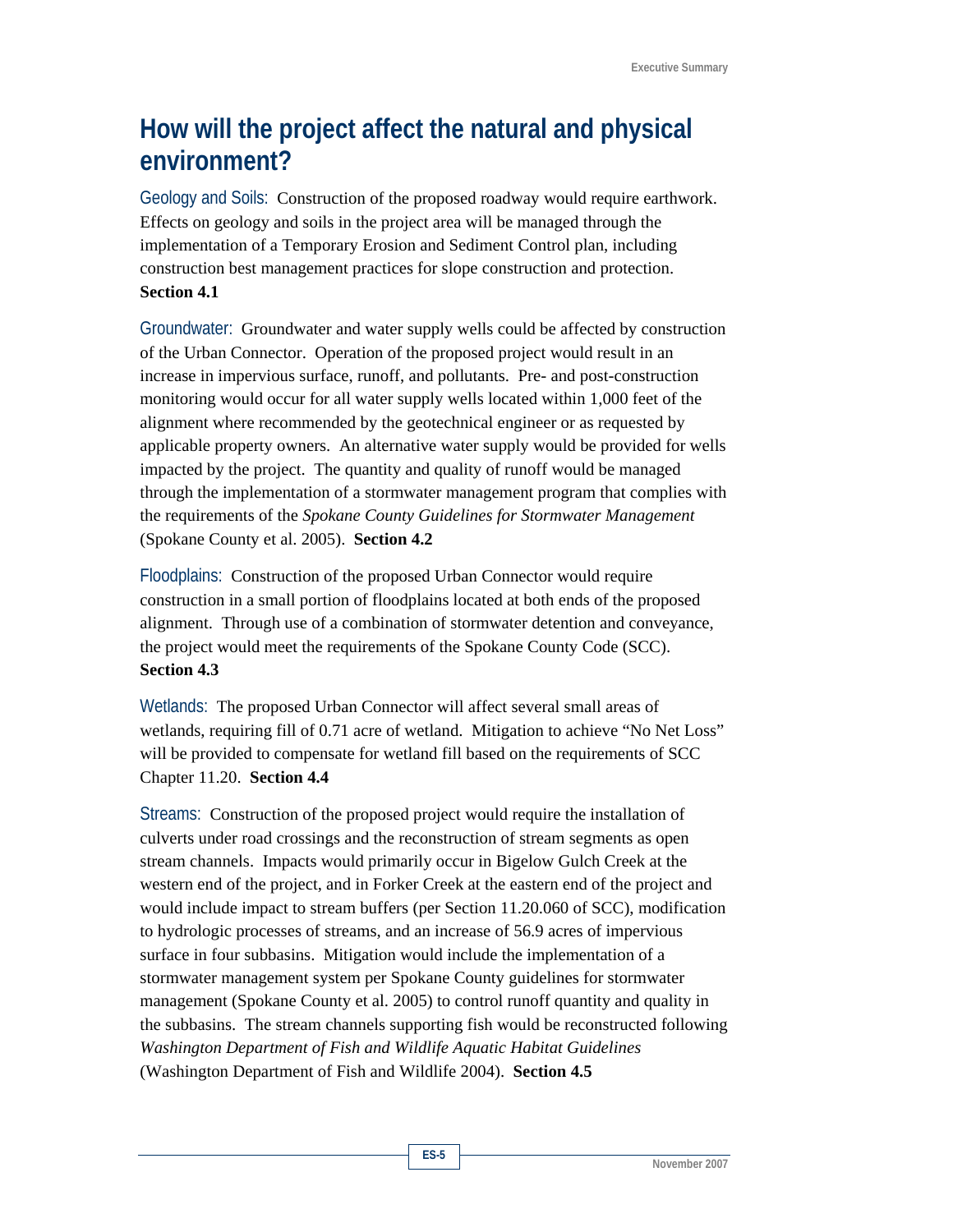## **How will the project affect the natural and physical environment?**

Geology and Soils: Construction of the proposed roadway would require earthwork. Effects on geology and soils in the project area will be managed through the implementation of a Temporary Erosion and Sediment Control plan, including construction best management practices for slope construction and protection. **Section 4.1**

Groundwater: Groundwater and water supply wells could be affected by construction of the Urban Connector. Operation of the proposed project would result in an increase in impervious surface, runoff, and pollutants. Pre- and post-construction monitoring would occur for all water supply wells located within 1,000 feet of the alignment where recommended by the geotechnical engineer or as requested by applicable property owners. An alternative water supply would be provided for wells impacted by the project. The quantity and quality of runoff would be managed through the implementation of a stormwater management program that complies with the requirements of the *Spokane County Guidelines for Stormwater Management* (Spokane County et al. 2005). **Section 4.2**

Floodplains: Construction of the proposed Urban Connector would require construction in a small portion of floodplains located at both ends of the proposed alignment. Through use of a combination of stormwater detention and conveyance, the project would meet the requirements of the Spokane County Code (SCC). **Section 4.3** 

Wetlands: The proposed Urban Connector will affect several small areas of wetlands, requiring fill of 0.71 acre of wetland. Mitigation to achieve "No Net Loss" will be provided to compensate for wetland fill based on the requirements of SCC Chapter 11.20. **Section 4.4** 

Streams: Construction of the proposed project would require the installation of culverts under road crossings and the reconstruction of stream segments as open stream channels. Impacts would primarily occur in Bigelow Gulch Creek at the western end of the project, and in Forker Creek at the eastern end of the project and would include impact to stream buffers (per Section 11.20.060 of SCC), modification to hydrologic processes of streams, and an increase of 56.9 acres of impervious surface in four subbasins. Mitigation would include the implementation of a stormwater management system per Spokane County guidelines for stormwater management (Spokane County et al. 2005) to control runoff quantity and quality in the subbasins. The stream channels supporting fish would be reconstructed following *Washington Department of Fish and Wildlife Aquatic Habitat Guidelines* (Washington Department of Fish and Wildlife 2004). **Section 4.5**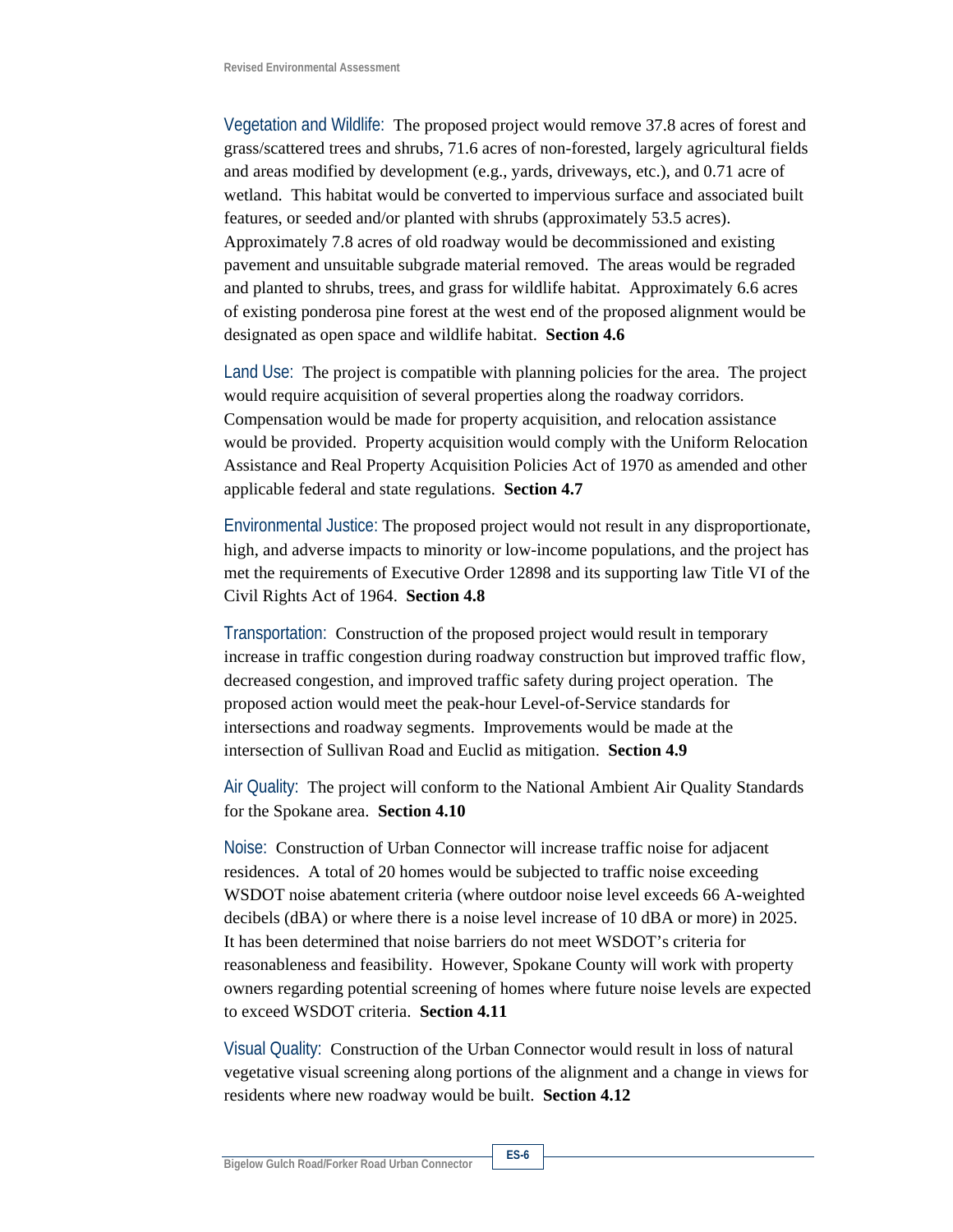Vegetation and Wildlife: The proposed project would remove 37.8 acres of forest and grass/scattered trees and shrubs, 71.6 acres of non-forested, largely agricultural fields and areas modified by development (e.g., yards, driveways, etc.), and 0.71 acre of wetland. This habitat would be converted to impervious surface and associated built features, or seeded and/or planted with shrubs (approximately 53.5 acres). Approximately 7.8 acres of old roadway would be decommissioned and existing pavement and unsuitable subgrade material removed. The areas would be regraded and planted to shrubs, trees, and grass for wildlife habitat. Approximately 6.6 acres of existing ponderosa pine forest at the west end of the proposed alignment would be designated as open space and wildlife habitat. **Section 4.6**

Land Use: The project is compatible with planning policies for the area. The project would require acquisition of several properties along the roadway corridors. Compensation would be made for property acquisition, and relocation assistance would be provided. Property acquisition would comply with the Uniform Relocation Assistance and Real Property Acquisition Policies Act of 1970 as amended and other applicable federal and state regulations. **Section 4.7** 

Environmental Justice: The proposed project would not result in any disproportionate, high, and adverse impacts to minority or low-income populations, and the project has met the requirements of Executive Order 12898 and its supporting law Title VI of the Civil Rights Act of 1964. **Section 4.8**

Transportation: Construction of the proposed project would result in temporary increase in traffic congestion during roadway construction but improved traffic flow, decreased congestion, and improved traffic safety during project operation. The proposed action would meet the peak-hour Level-of-Service standards for intersections and roadway segments. Improvements would be made at the intersection of Sullivan Road and Euclid as mitigation. **Section 4.9**

Air Quality: The project will conform to the National Ambient Air Quality Standards for the Spokane area. **Section 4.10** 

Noise: Construction of Urban Connector will increase traffic noise for adjacent residences. A total of 20 homes would be subjected to traffic noise exceeding WSDOT noise abatement criteria (where outdoor noise level exceeds 66 A-weighted decibels (dBA) or where there is a noise level increase of 10 dBA or more) in 2025. It has been determined that noise barriers do not meet WSDOT's criteria for reasonableness and feasibility. However, Spokane County will work with property owners regarding potential screening of homes where future noise levels are expected to exceed WSDOT criteria. **Section 4.11** 

Visual Quality: Construction of the Urban Connector would result in loss of natural vegetative visual screening along portions of the alignment and a change in views for residents where new roadway would be built. **Section 4.12**